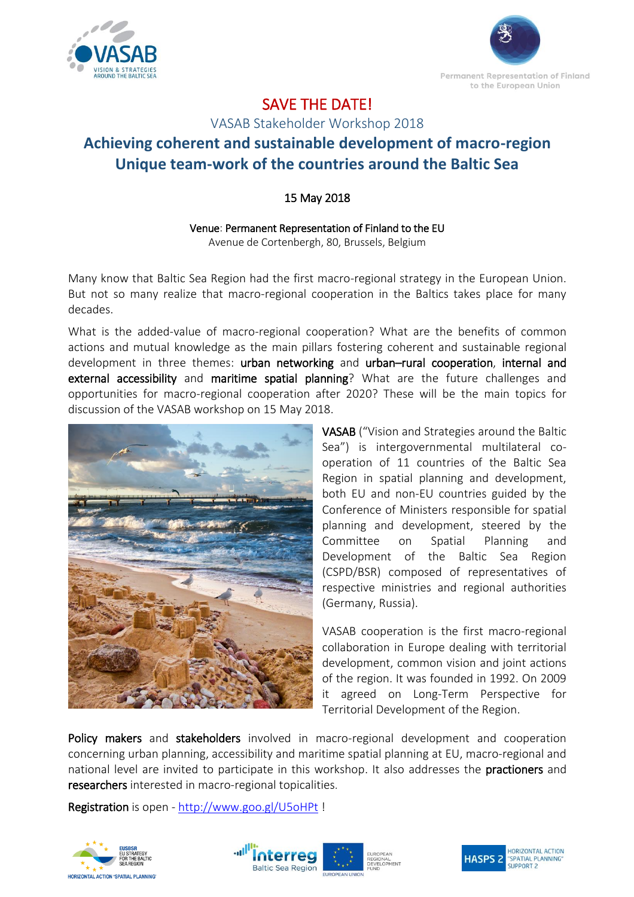



## SAVE THE DATE!

VASAB Stakeholder Workshop 2018

## **Achieving coherent and sustainable development of macro-region Unique team-work of the countries around the Baltic Sea**

## 15 May 2018

Venue: Permanent Representation of Finland to the EU Avenue de Cortenbergh, 80, Brussels, Belgium

Many know that Baltic Sea Region had the first macro-regional strategy in the European Union. But not so many realize that macro-regional cooperation in the Baltics takes place for many decades.

What is the added-value of macro-regional cooperation? What are the benefits of common actions and mutual knowledge as the main pillars fostering coherent and sustainable regional development in three themes: urban networking and urban-rural cooperation, internal and external accessibility and maritime spatial planning? What are the future challenges and opportunities for macro-regional cooperation after 2020? These will be the main topics for discussion of the VASAB workshop on 15 May 2018.



VASAB ("Vision and Strategies around the Baltic Sea") is intergovernmental multilateral cooperation of 11 countries of the Baltic Sea Region in spatial planning and development, both EU and non-EU countries guided by the Conference of Ministers responsible for spatial planning and development, steered by the Committee on Spatial Planning and Development of the Baltic Sea Region (CSPD/BSR) composed of representatives of respective ministries and regional authorities (Germany, Russia).

VASAB cooperation is the first macro-regional collaboration in Europe dealing with territorial development, common vision and joint actions of the region. It was founded in 1992. On 2009 it agreed on Long-Term Perspective for Territorial Development of the Region.

Policy makers and stakeholders involved in macro-regional development and cooperation concerning urban planning, accessibility and maritime spatial planning at EU, macro-regional and national level are invited to participate in this workshop. It also addresses the **practioners** and researchers interested in macro-regional topicalities.

Registration is open - <http://www.goo.gl/U5oHPt> !